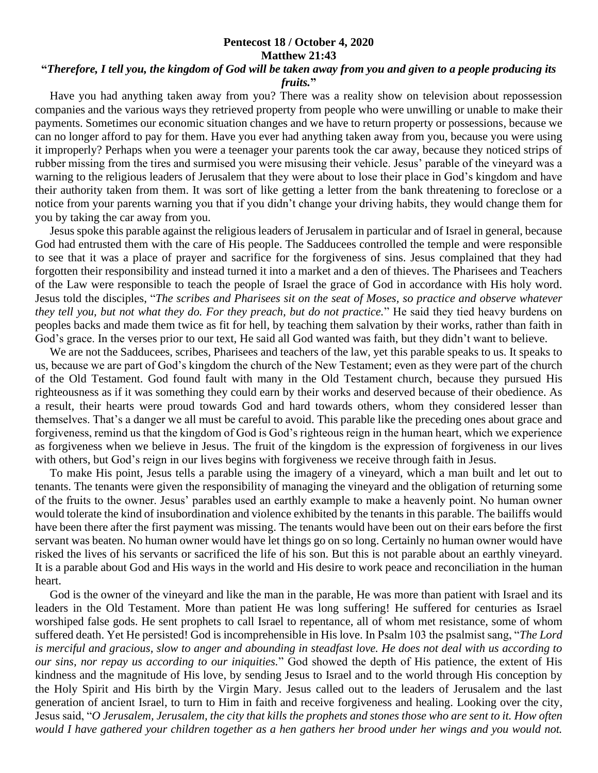## **Pentecost 18 / October 4, 2020 Matthew 21:43**

## **"***Therefore, I tell you, the kingdom of God will be taken away from you and given to a people producing its fruits.***"**

 Have you had anything taken away from you? There was a reality show on television about repossession companies and the various ways they retrieved property from people who were unwilling or unable to make their payments. Sometimes our economic situation changes and we have to return property or possessions, because we can no longer afford to pay for them. Have you ever had anything taken away from you, because you were using it improperly? Perhaps when you were a teenager your parents took the car away, because they noticed strips of rubber missing from the tires and surmised you were misusing their vehicle. Jesus' parable of the vineyard was a warning to the religious leaders of Jerusalem that they were about to lose their place in God's kingdom and have their authority taken from them. It was sort of like getting a letter from the bank threatening to foreclose or a notice from your parents warning you that if you didn't change your driving habits, they would change them for you by taking the car away from you.

 Jesus spoke this parable against the religious leaders of Jerusalem in particular and of Israel in general, because God had entrusted them with the care of His people. The Sadducees controlled the temple and were responsible to see that it was a place of prayer and sacrifice for the forgiveness of sins. Jesus complained that they had forgotten their responsibility and instead turned it into a market and a den of thieves. The Pharisees and Teachers of the Law were responsible to teach the people of Israel the grace of God in accordance with His holy word. Jesus told the disciples, "*The scribes and Pharisees sit on the seat of Moses, so practice and observe whatever they tell you, but not what they do. For they preach, but do not practice.*" He said they tied heavy burdens on peoples backs and made them twice as fit for hell, by teaching them salvation by their works, rather than faith in God's grace. In the verses prior to our text, He said all God wanted was faith, but they didn't want to believe.

 We are not the Sadducees, scribes, Pharisees and teachers of the law, yet this parable speaks to us. It speaks to us, because we are part of God's kingdom the church of the New Testament; even as they were part of the church of the Old Testament. God found fault with many in the Old Testament church, because they pursued His righteousness as if it was something they could earn by their works and deserved because of their obedience. As a result, their hearts were proud towards God and hard towards others, whom they considered lesser than themselves. That's a danger we all must be careful to avoid. This parable like the preceding ones about grace and forgiveness, remind us that the kingdom of God is God's righteous reign in the human heart, which we experience as forgiveness when we believe in Jesus. The fruit of the kingdom is the expression of forgiveness in our lives with others, but God's reign in our lives begins with forgiveness we receive through faith in Jesus.

 To make His point, Jesus tells a parable using the imagery of a vineyard, which a man built and let out to tenants. The tenants were given the responsibility of managing the vineyard and the obligation of returning some of the fruits to the owner. Jesus' parables used an earthly example to make a heavenly point. No human owner would tolerate the kind of insubordination and violence exhibited by the tenants in this parable. The bailiffs would have been there after the first payment was missing. The tenants would have been out on their ears before the first servant was beaten. No human owner would have let things go on so long. Certainly no human owner would have risked the lives of his servants or sacrificed the life of his son. But this is not parable about an earthly vineyard. It is a parable about God and His ways in the world and His desire to work peace and reconciliation in the human heart.

 God is the owner of the vineyard and like the man in the parable, He was more than patient with Israel and its leaders in the Old Testament. More than patient He was long suffering! He suffered for centuries as Israel worshiped false gods. He sent prophets to call Israel to repentance, all of whom met resistance, some of whom suffered death. Yet He persisted! God is incomprehensible in His love. In Psalm 103 the psalmist sang, "*The Lord is merciful and gracious, slow to anger and abounding in steadfast love. He does not deal with us according to our sins, nor repay us according to our iniquities.*" God showed the depth of His patience, the extent of His kindness and the magnitude of His love, by sending Jesus to Israel and to the world through His conception by the Holy Spirit and His birth by the Virgin Mary. Jesus called out to the leaders of Jerusalem and the last generation of ancient Israel, to turn to Him in faith and receive forgiveness and healing. Looking over the city, Jesus said, "*O Jerusalem, Jerusalem, the city that kills the prophets and stones those who are sent to it. How often would I have gathered your children together as a hen gathers her brood under her wings and you would not.*